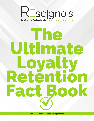# RESCIGNO'S

# The Ultimate Loyalty Retention Fact Book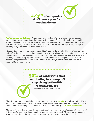

**You've worked hard all year.** You've made a concerted effort to engage your donors and prospects with communications that focus on the impact of each individual's investment in your mission and now you're preparing to reap the benefits of your various appeals of the last few months. If only this were as simple as it sounds. 'Keeping' donors is probably the biggest challenge any advancement office faces today.

'Keeping' is an interesting word, don't you think? Keeping donors what? Loyal, of course! Now, right off the bat, let's be clear about something: we're not talking simply about retention. Loyalty implies so much more. As we visit with non-profits over the course of the year, we often broach the subject of donor loyalty, faithfulness, devotion, or whatever word you choose to use to describe the processes used to 'keep' a donor invested in your mission by contributing in a predictable, on-going fashion.

> 90% of donors who start contributing to a non-profit stop giving by the fifth renewal request. (Penelope Burk, Fundraising Author)

Since the buzz word in fundraising circles today seems to be **loyalty**, let's stick with that. It's an emotional connection and relationship between donors and your organization. It implies that a donor is listening, engaged, and motivated to action again and again. **In short, connected.** 

Maybe you're wondering if you should invest your time in reading our latest educational booklet? It depends. Do you enjoy donor retention rates marred only by death? Do you have a handle on what happens during the exodus of first year donors who never renew their giving?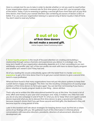Here is a simple test for you to take in order to decide whether or not you want to read further: if your organization enjoys a renewal rate for first-time givers of over 50%, you've earned a day at the beach. Today, if you're renewing or getting a second gift from more than 50% of your firsttime donors, that means your overall retention rate combining all classes of donors is 80% or better. If so, you and your organization belong in a special wing of donor loyalty's Hall of Fame. You don't need to read any further.



A **donor loyalty program** is the result of focused attention on creating and building a relationship through various channels and experiences you deliver in a strategic way. The long-term health of your organization absolutely depends on it. In fact, according to our own admittedly unscientific tally, 29% of the non-profits we work with have no donor loyalty program and another 40% weren't sure if they had one.

All of you reading this would undoubtedly agree with the belief that it is harder and more **expensive** to get a first-time donor than it is to get your current donors to give a second time (and it's more profitable).

What we have found is that many organizations have not put into place systems to keep their current donors happy and engaged. This then, has the resulting consequence of causing large numbers of first-time donors to fail to give again. You can bet that not knowing if you have a donor retention or loyalty program leads to one thing – donor attrition.

That's why we've written this little educational booklet for you at this time. You invest a lot of time, effort and money in your year-end campaigns and, really, it matters very little how well you do on any one campaign in and of itself. It's what you do to 'keep' (that word again) current donors loyal and what you do to steward first-time donors to give a second and third time, because research shows that if you get those second and third gifts, the likelihood is they will become loyal for a long period of time.

Later in this booklet we'll talk about strategies for keeping donors loyal, but first let us share some of our findings with you. We gathered much of this information in informal phone conversations with executive directors, presidents, directors of advancement, directors of development, etc.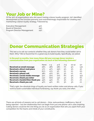## Your Job or Mine?

Of the 30% of organizations who did report having a donor loyalty program, 74% identified development as the function primarily and overwhelmingly responsible for creating and maintaining a donor loyalty strategy. Followed by:

| <b>Executive Management</b> | 41% |
|-----------------------------|-----|
| <b>Board of Directors</b>   | 24% |
| Program Director/Management | 24% |

## Donor Communication Strategies

This led us to ask our contacts whether they ask donors how they could better serve them. Why? We've found that it's a great way to build loyalty. Specifically, we asked:

In the past 12 months, how many times did your average donor receive a communication from your organization via each of the following channels?

|                                         | <b>None</b> | $1 - 3$ | $4 - 6$ | $7 - 9$ | $10 - 12$ | $12+$ |
|-----------------------------------------|-------------|---------|---------|---------|-----------|-------|
| <b>Received an email message</b>        | 26%         | 28%     | 18%     | 7%      | 9%        | 13%   |
| <b>Received a direct mail piece</b>     | 17%         | 47%     | 25%     | 5%      | 3%        | 3%    |
| <b>Received a survey</b>                | 67%         | 27%     | 3%      | $1\%$   | $1\%$     | $0\%$ |
| <b>Received a phone call</b>            | 38%         | 47%     | 9%      | 3%      | 1%        | 2%    |
| <b>Received a social media message</b>  | 41%         | 20%     | 10%     | 6%      | 9%        | 15%   |
| <b>Received a thank you letter</b>      | 13%         | 60%     | 14%     | 4%      | 3%        | 6%    |
| <b>Received a handwritten thank you</b> | 43%         | 44%     | 7%      | 3%      | 2%        | 2%    |
| <b>Received a thank you call</b>        | 47%         | 41%     | 6%      | 3%      | 3%        | 1%    |

That's right: the absolute kings of loyalty are hand-written notes and phone calls. If you want to build sustainable individual fundraising, say thank you early and often.

There are all kinds of reasons not to call donors – time, awkwardness, inefficiency, fear of being rejected – but the relationship that can begin from just one phone call is awe-inspiring. Calling donors could be the one thing you do as an organization that sets you apart from your competition for the hearts and minds of your constituents.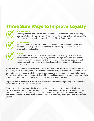# Three Sure Ways to Improve Loyalty

#### 1. Satisfaction

Crafting "impact" communications – the easiest and most efficient way to keep donors satisfied; The single biggest driver of loyalty is satisfaction with the quality of service provided by the fundraising team. (Study Fundraising)



#### 2. Commitment

As a staff, there must be a buy-in that every donor (and donor interaction) will be treated as an opportunity to enhance the donor experience and the donor/ organization relationship.

#### 3. Trust

If you doubt the importance of this, remember, trust takes years to build and only seconds to destroy. On a gift-by-gift basis, budgeting communication and recognition relative to the size of the gift seems to make sense, but it is actually the opposite of what needs to be done in order to keep donors and increase contributions.

Fewer first-time donors renew because they do not receive the information needed to deserve a second gift. Ask yourself, right now, from the moment a first gift is made until the moment you ask that donor for a second gift, have you done everything in your power to keep that person? Donors who indicate they are very satisfied with the quality of service provided are 2x more likely to be giving next year than donors who indicate they are merely satisfied.

Improved communication will assure new donors that they did the right thing. It will boost their comfort level when it's time to give again.

For renewing donors whose gifts have reached a certain level, better communications will provide these donors with the reason for giving at new levels. And, for your high-end donors, personal communication is simply an expected part of your growing partnership and a very real opportunity for your non-profit to help donors fulfill their long-term goals and dreams (and yours)!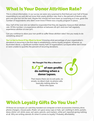## What Is Your Donor Attrition Rate?

This is critical information. In our survey we were very surprised to find that just over half of those responding to our poll did not know their yearly attrition rate; that is, the percent of donors who give one year but not the next. Maybe this should not have been as surprising as it was, given the number of respondents who didn't even know if there was a loyalty program in place.

Also, half of the over 200 we talked to responded that they do regularly measure their attrition rate. Of this number, 1/4 experience attrition at between 26-50% and over half regularly experience attrition at over 50%.

Can you continue to allow your non-profit to suffer these attrition rates? Are you ready to do something about it?

You've Got to Know if You Want to Grow! Knowing what percentage of your organization's donations is recurring is the first step in establishing a donor loyalty program. However, as illustrated above, a significant number (nearly half) of organizations surveyed either don't know or were unable to quantify the percent of recurring donations.



# Which Loyalty Gifts Do You Use?

Of those we surveyed, 5% said they handed out computer or tech accessories (memory drive, phone chargers, mouse pads, iPads), 11% gave away caps or hats, 19% clothing (t-shirts, jackets, dress shirts), 21% drink-ware, 24% pens, pencils, and markers, while 52% reported giving nothing at all. Why are writing utensils #1 when it comes to loyalty? Probably affordability.